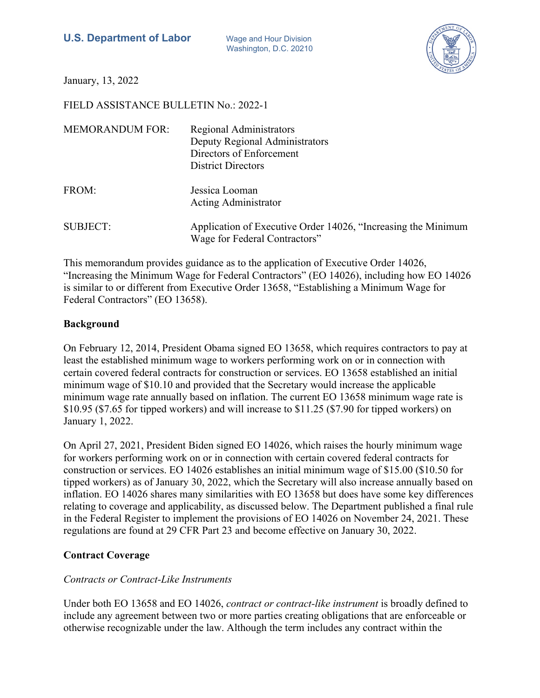Washington, D.C. 20210



January, 13, 2022

FIELD ASSISTANCE BULLETIN No.: 2022-1

| <b>MEMORANDUM FOR:</b> | Regional Administrators<br>Deputy Regional Administrators<br>Directors of Enforcement<br><b>District Directors</b> |
|------------------------|--------------------------------------------------------------------------------------------------------------------|
| FROM:                  | Jessica Looman<br><b>Acting Administrator</b>                                                                      |
| <b>SUBJECT:</b>        | Application of Executive Order 14026, "Increasing the Minimum<br>Wage for Federal Contractors"                     |

This memorandum provides guidance as to the application of Executive Order 14026, "Increasing the Minimum Wage for Federal Contractors" (EO 14026), including how EO 14026 is similar to or different from Executive Order 13658, "Establishing a Minimum Wage for Federal Contractors" (EO 13658).

### **Background**

On February 12, 2014, President Obama signed EO 13658, which requires contractors to pay at least the established minimum wage to workers performing work on or in connection with certain covered federal contracts for construction or services. EO 13658 established an initial minimum wage of \$10.10 and provided that the Secretary would increase the applicable minimum wage rate annually based on inflation. The current EO 13658 minimum wage rate is \$10.95 (\$7.65 for tipped workers) and will increase to \$11.25 (\$7.90 for tipped workers) on January 1, 2022.

On April 27, 2021, President Biden signed EO 14026, which raises the hourly minimum wage for workers performing work on or in connection with certain covered federal contracts for construction or services. EO 14026 establishes an initial minimum wage of \$15.00 (\$10.50 for tipped workers) as of January 30, 2022, which the Secretary will also increase annually based on inflation. EO 14026 shares many similarities with EO 13658 but does have some key differences relating to coverage and applicability, as discussed below. The Department published a final rule in the Federal Register to implement the provisions of EO 14026 on November 24, 2021. These regulations are found at 29 CFR Part 23 and become effective on January 30, 2022.

## **Contract Coverage**

## *Contracts or Contract-Like Instruments*

Under both EO 13658 and EO 14026, *contract or contract-like instrument* is broadly defined to include any agreement between two or more parties creating obligations that are enforceable or otherwise recognizable under the law. Although the term includes any contract within the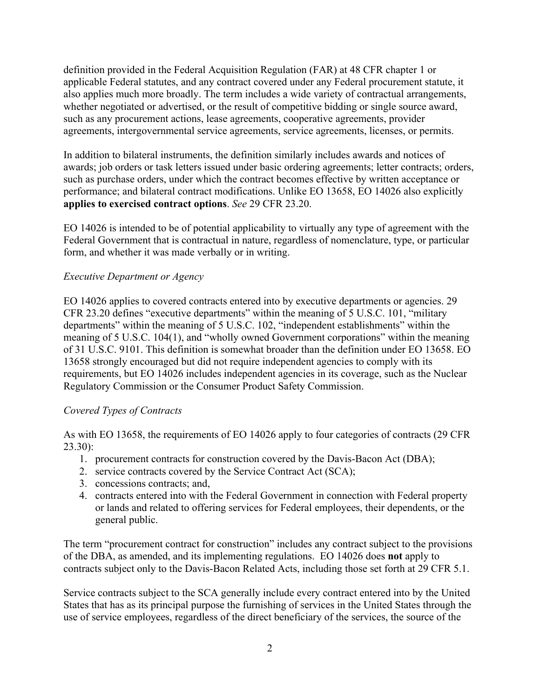definition provided in the Federal Acquisition Regulation (FAR) at 48 CFR chapter 1 or applicable Federal statutes, and any contract covered under any Federal procurement statute, it also applies much more broadly. The term includes a wide variety of contractual arrangements, whether negotiated or advertised, or the result of competitive bidding or single source award, such as any procurement actions, lease agreements, cooperative agreements, provider agreements, intergovernmental service agreements, service agreements, licenses, or permits.

In addition to bilateral instruments, the definition similarly includes awards and notices of awards; job orders or task letters issued under basic ordering agreements; letter contracts; orders, such as purchase orders, under which the contract becomes effective by written acceptance or performance; and bilateral contract modifications. Unlike EO 13658, EO 14026 also explicitly **applies to exercised contract options**. *See* 29 CFR 23.20.

EO 14026 is intended to be of potential applicability to virtually any type of agreement with the Federal Government that is contractual in nature, regardless of nomenclature, type, or particular form, and whether it was made verbally or in writing.

## *Executive Department or Agency*

EO 14026 applies to covered contracts entered into by executive departments or agencies. 29 CFR 23.20 defines "executive departments" within the meaning of 5 U.S.C. 101, "military departments" within the meaning of 5 U.S.C. 102, "independent establishments" within the meaning of 5 U.S.C. 104(1), and "wholly owned Government corporations" within the meaning of 31 U.S.C. 9101. This definition is somewhat broader than the definition under EO 13658. EO 13658 strongly encouraged but did not require independent agencies to comply with its requirements, but EO 14026 includes independent agencies in its coverage, such as the Nuclear Regulatory Commission or the Consumer Product Safety Commission.

## *Covered Types of Contracts*

As with EO 13658, the requirements of EO 14026 apply to four categories of contracts (29 CFR 23.30):

- 1. procurement contracts for construction covered by the Davis-Bacon Act (DBA);
- 2. service contracts covered by the Service Contract Act (SCA);
- 3. concessions contracts; and,
- 4. contracts entered into with the Federal Government in connection with Federal property or lands and related to offering services for Federal employees, their dependents, or the general public.

The term "procurement contract for construction" includes any contract subject to the provisions of the DBA, as amended, and its implementing regulations. EO 14026 does **not** apply to contracts subject only to the Davis-Bacon Related Acts, including those set forth at 29 CFR 5.1.

Service contracts subject to the SCA generally include every contract entered into by the United States that has as its principal purpose the furnishing of services in the United States through the use of service employees, regardless of the direct beneficiary of the services, the source of the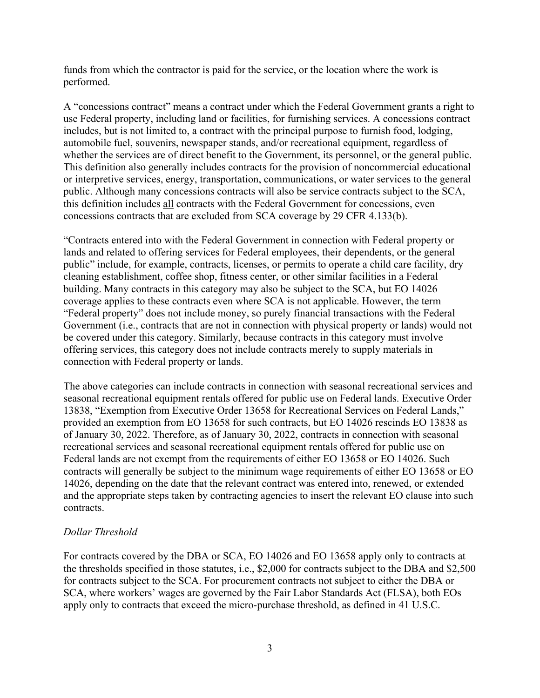funds from which the contractor is paid for the service, or the location where the work is performed.

A "concessions contract" means a contract under which the Federal Government grants a right to use Federal property, including land or facilities, for furnishing services. A concessions contract includes, but is not limited to, a contract with the principal purpose to furnish food, lodging, automobile fuel, souvenirs, newspaper stands, and/or recreational equipment, regardless of whether the services are of direct benefit to the Government, its personnel, or the general public. This definition also generally includes contracts for the provision of noncommercial educational or interpretive services, energy, transportation, communications, or water services to the general public. Although many concessions contracts will also be service contracts subject to the SCA, this definition includes all contracts with the Federal Government for concessions, even concessions contracts that are excluded from SCA coverage by 29 CFR 4.133(b).

"Contracts entered into with the Federal Government in connection with Federal property or lands and related to offering services for Federal employees, their dependents, or the general public" include, for example, contracts, licenses, or permits to operate a child care facility, dry cleaning establishment, coffee shop, fitness center, or other similar facilities in a Federal building. Many contracts in this category may also be subject to the SCA, but EO 14026 coverage applies to these contracts even where SCA is not applicable. However, the term "Federal property" does not include money, so purely financial transactions with the Federal Government (i.e., contracts that are not in connection with physical property or lands) would not be covered under this category. Similarly, because contracts in this category must involve offering services, this category does not include contracts merely to supply materials in connection with Federal property or lands.

The above categories can include contracts in connection with seasonal recreational services and seasonal recreational equipment rentals offered for public use on Federal lands. Executive Order 13838, "Exemption from Executive Order 13658 for Recreational Services on Federal Lands," provided an exemption from EO 13658 for such contracts, but EO 14026 rescinds EO 13838 as of January 30, 2022. Therefore, as of January 30, 2022, contracts in connection with seasonal recreational services and seasonal recreational equipment rentals offered for public use on Federal lands are not exempt from the requirements of either EO 13658 or EO 14026. Such contracts will generally be subject to the minimum wage requirements of either EO 13658 or EO 14026, depending on the date that the relevant contract was entered into, renewed, or extended and the appropriate steps taken by contracting agencies to insert the relevant EO clause into such contracts.

### *Dollar Threshold*

For contracts covered by the DBA or SCA, EO 14026 and EO 13658 apply only to contracts at the thresholds specified in those statutes, i.e., \$2,000 for contracts subject to the DBA and \$2,500 for contracts subject to the SCA. For procurement contracts not subject to either the DBA or SCA, where workers' wages are governed by the Fair Labor Standards Act (FLSA), both EOs apply only to contracts that exceed the micro-purchase threshold, as defined in 41 U.S.C.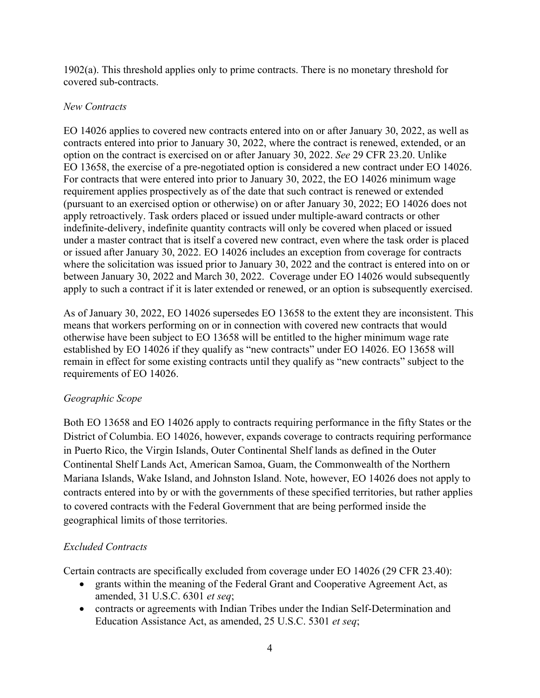1902(a). This threshold applies only to prime contracts. There is no monetary threshold for covered sub-contracts.

### *New Contracts*

EO 14026 applies to covered new contracts entered into on or after January 30, 2022, as well as contracts entered into prior to January 30, 2022, where the contract is renewed, extended, or an option on the contract is exercised on or after January 30, 2022. *See* 29 CFR 23.20. Unlike EO 13658, the exercise of a pre-negotiated option is considered a new contract under EO 14026. For contracts that were entered into prior to January 30, 2022, the EO 14026 minimum wage requirement applies prospectively as of the date that such contract is renewed or extended (pursuant to an exercised option or otherwise) on or after January 30, 2022; EO 14026 does not apply retroactively. Task orders placed or issued under multiple-award contracts or other indefinite-delivery, indefinite quantity contracts will only be covered when placed or issued under a master contract that is itself a covered new contract, even where the task order is placed or issued after January 30, 2022. EO 14026 includes an exception from coverage for contracts where the solicitation was issued prior to January 30, 2022 and the contract is entered into on or between January 30, 2022 and March 30, 2022. Coverage under EO 14026 would subsequently apply to such a contract if it is later extended or renewed, or an option is subsequently exercised.

As of January 30, 2022, EO 14026 supersedes EO 13658 to the extent they are inconsistent. This means that workers performing on or in connection with covered new contracts that would otherwise have been subject to EO 13658 will be entitled to the higher minimum wage rate established by EO 14026 if they qualify as "new contracts" under EO 14026. EO 13658 will remain in effect for some existing contracts until they qualify as "new contracts" subject to the requirements of EO 14026.

## *Geographic Scope*

Both EO 13658 and EO 14026 apply to contracts requiring performance in the fifty States or the District of Columbia. EO 14026, however, expands coverage to contracts requiring performance in Puerto Rico, the Virgin Islands, Outer Continental Shelf lands as defined in the Outer Continental Shelf Lands Act, American Samoa, Guam, the Commonwealth of the Northern Mariana Islands, Wake Island, and Johnston Island. Note, however, EO 14026 does not apply to contracts entered into by or with the governments of these specified territories, but rather applies to covered contracts with the Federal Government that are being performed inside the geographical limits of those territories.

## *Excluded Contracts*

Certain contracts are specifically excluded from coverage under EO 14026 (29 CFR 23.40):

- grants within the meaning of the Federal Grant and Cooperative Agreement Act, as amended, 31 U.S.C. 6301 *et seq*;
- contracts or agreements with Indian Tribes under the Indian Self-Determination and Education Assistance Act, as amended, 25 U.S.C. 5301 *et seq*;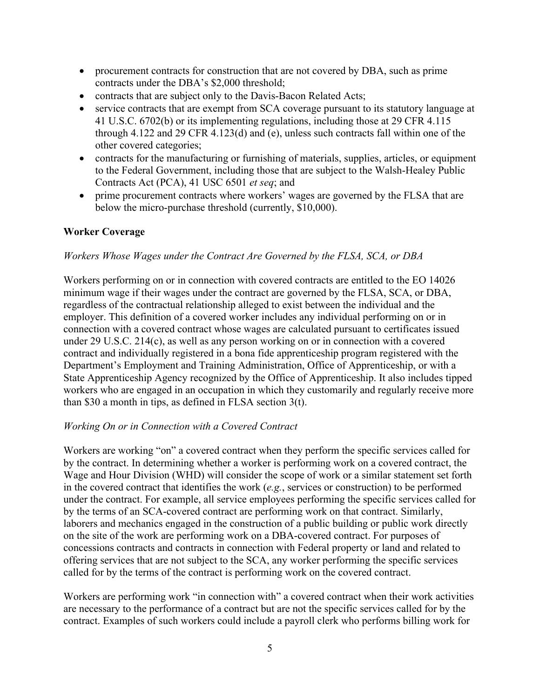- procurement contracts for construction that are not covered by DBA, such as prime contracts under the DBA's \$2,000 threshold;
- contracts that are subject only to the Davis-Bacon Related Acts;
- service contracts that are exempt from SCA coverage pursuant to its statutory language at 41 U.S.C. 6702(b) or its implementing regulations, including those at 29 CFR 4.115 through 4.122 and 29 CFR 4.123(d) and (e), unless such contracts fall within one of the other covered categories;
- contracts for the manufacturing or furnishing of materials, supplies, articles, or equipment to the Federal Government, including those that are subject to the Walsh-Healey Public Contracts Act (PCA), 41 USC 6501 *et seq*; and
- prime procurement contracts where workers' wages are governed by the FLSA that are below the micro-purchase threshold (currently, \$10,000).

### **Worker Coverage**

### *Workers Whose Wages under the Contract Are Governed by the FLSA, SCA, or DBA*

Workers performing on or in connection with covered contracts are entitled to the EO 14026 minimum wage if their wages under the contract are governed by the FLSA, SCA, or DBA, regardless of the contractual relationship alleged to exist between the individual and the employer. This definition of a covered worker includes any individual performing on or in connection with a covered contract whose wages are calculated pursuant to certificates issued under 29 U.S.C. 214(c), as well as any person working on or in connection with a covered contract and individually registered in a bona fide apprenticeship program registered with the Department's Employment and Training Administration, Office of Apprenticeship, or with a State Apprenticeship Agency recognized by the Office of Apprenticeship. It also includes tipped workers who are engaged in an occupation in which they customarily and regularly receive more than \$30 a month in tips, as defined in FLSA section 3(t).

### *Working On or in Connection with a Covered Contract*

Workers are working "on" a covered contract when they perform the specific services called for by the contract. In determining whether a worker is performing work on a covered contract, the Wage and Hour Division (WHD) will consider the scope of work or a similar statement set forth in the covered contract that identifies the work (*e.g.*, services or construction) to be performed under the contract. For example, all service employees performing the specific services called for by the terms of an SCA-covered contract are performing work on that contract. Similarly, laborers and mechanics engaged in the construction of a public building or public work directly on the site of the work are performing work on a DBA-covered contract. For purposes of concessions contracts and contracts in connection with Federal property or land and related to offering services that are not subject to the SCA, any worker performing the specific services called for by the terms of the contract is performing work on the covered contract.

Workers are performing work "in connection with" a covered contract when their work activities are necessary to the performance of a contract but are not the specific services called for by the contract. Examples of such workers could include a payroll clerk who performs billing work for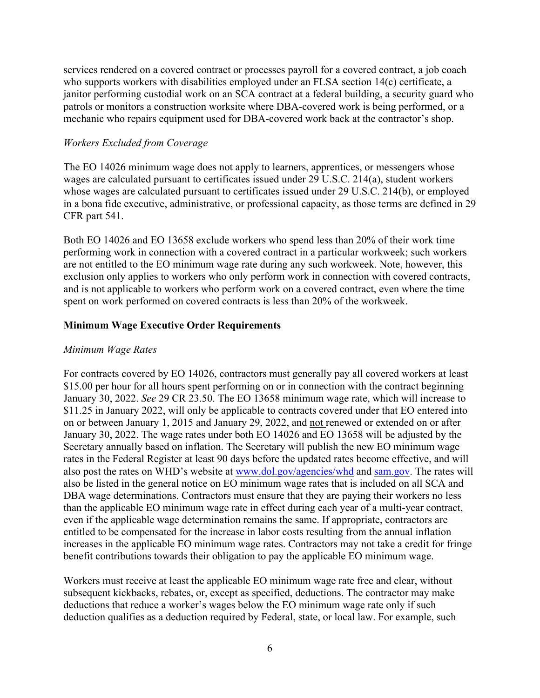services rendered on a covered contract or processes payroll for a covered contract, a job coach who supports workers with disabilities employed under an FLSA section 14(c) certificate, a janitor performing custodial work on an SCA contract at a federal building, a security guard who patrols or monitors a construction worksite where DBA-covered work is being performed, or a mechanic who repairs equipment used for DBA-covered work back at the contractor's shop.

#### *Workers Excluded from Coverage*

The EO 14026 minimum wage does not apply to learners, apprentices, or messengers whose wages are calculated pursuant to certificates issued under 29 U.S.C. 214(a), student workers whose wages are calculated pursuant to certificates issued under 29 U.S.C. 214(b), or employed in a bona fide executive, administrative, or professional capacity, as those terms are defined in 29 CFR part 541.

Both EO 14026 and EO 13658 exclude workers who spend less than 20% of their work time performing work in connection with a covered contract in a particular workweek; such workers are not entitled to the EO minimum wage rate during any such workweek. Note, however, this exclusion only applies to workers who only perform work in connection with covered contracts, and is not applicable to workers who perform work on a covered contract, even where the time spent on work performed on covered contracts is less than 20% of the workweek.

### **Minimum Wage Executive Order Requirements**

### *Minimum Wage Rates*

For contracts covered by EO 14026, contractors must generally pay all covered workers at least \$15.00 per hour for all hours spent performing on or in connection with the contract beginning January 30, 2022. *See* 29 CR 23.50. The EO 13658 minimum wage rate, which will increase to \$11.25 in January 2022, will only be applicable to contracts covered under that EO entered into on or between January 1, 2015 and January 29, 2022, and not renewed or extended on or after January 30, 2022. The wage rates under both EO 14026 and EO 13658 will be adjusted by the Secretary annually based on inflation. The Secretary will publish the new EO minimum wage rates in the Federal Register at least 90 days before the updated rates become effective, and will also post the rates on WHD's website at [www.dol.gov/agencies/whd](http://www.dol.gov/agencies/whd) and [sam.gov.](https://sam.gov/) The rates will also be listed in the general notice on EO minimum wage rates that is included on all SCA and DBA wage determinations. Contractors must ensure that they are paying their workers no less than the applicable EO minimum wage rate in effect during each year of a multi-year contract, even if the applicable wage determination remains the same. If appropriate, contractors are entitled to be compensated for the increase in labor costs resulting from the annual inflation increases in the applicable EO minimum wage rates. Contractors may not take a credit for fringe benefit contributions towards their obligation to pay the applicable EO minimum wage.

Workers must receive at least the applicable EO minimum wage rate free and clear, without subsequent kickbacks, rebates, or, except as specified, deductions. The contractor may make deductions that reduce a worker's wages below the EO minimum wage rate only if such deduction qualifies as a deduction required by Federal, state, or local law. For example, such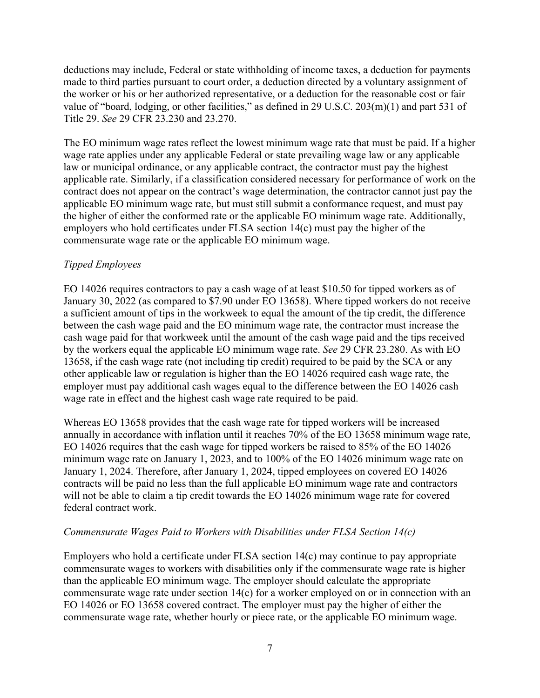deductions may include, Federal or state withholding of income taxes, a deduction for payments made to third parties pursuant to court order, a deduction directed by a voluntary assignment of the worker or his or her authorized representative, or a deduction for the reasonable cost or fair value of "board, lodging, or other facilities," as defined in 29 U.S.C. 203(m)(1) and part 531 of Title 29. *See* 29 CFR 23.230 and 23.270.

The EO minimum wage rates reflect the lowest minimum wage rate that must be paid. If a higher wage rate applies under any applicable Federal or state prevailing wage law or any applicable law or municipal ordinance, or any applicable contract, the contractor must pay the highest applicable rate. Similarly, if a classification considered necessary for performance of work on the contract does not appear on the contract's wage determination, the contractor cannot just pay the applicable EO minimum wage rate, but must still submit a conformance request, and must pay the higher of either the conformed rate or the applicable EO minimum wage rate. Additionally, employers who hold certificates under FLSA section 14(c) must pay the higher of the commensurate wage rate or the applicable EO minimum wage.

## *Tipped Employees*

EO 14026 requires contractors to pay a cash wage of at least \$10.50 for tipped workers as of January 30, 2022 (as compared to \$7.90 under EO 13658). Where tipped workers do not receive a sufficient amount of tips in the workweek to equal the amount of the tip credit, the difference between the cash wage paid and the EO minimum wage rate, the contractor must increase the cash wage paid for that workweek until the amount of the cash wage paid and the tips received by the workers equal the applicable EO minimum wage rate. *See* 29 CFR 23.280. As with EO 13658, if the cash wage rate (not including tip credit) required to be paid by the SCA or any other applicable law or regulation is higher than the EO 14026 required cash wage rate, the employer must pay additional cash wages equal to the difference between the EO 14026 cash wage rate in effect and the highest cash wage rate required to be paid.

Whereas EO 13658 provides that the cash wage rate for tipped workers will be increased annually in accordance with inflation until it reaches 70% of the EO 13658 minimum wage rate, EO 14026 requires that the cash wage for tipped workers be raised to 85% of the EO 14026 minimum wage rate on January 1, 2023, and to 100% of the EO 14026 minimum wage rate on January 1, 2024. Therefore, after January 1, 2024, tipped employees on covered EO 14026 contracts will be paid no less than the full applicable EO minimum wage rate and contractors will not be able to claim a tip credit towards the EO 14026 minimum wage rate for covered federal contract work.

## *Commensurate Wages Paid to Workers with Disabilities under FLSA Section 14(c)*

Employers who hold a certificate under FLSA section 14(c) may continue to pay appropriate commensurate wages to workers with disabilities only if the commensurate wage rate is higher than the applicable EO minimum wage. The employer should calculate the appropriate commensurate wage rate under section 14(c) for a worker employed on or in connection with an EO 14026 or EO 13658 covered contract. The employer must pay the higher of either the commensurate wage rate, whether hourly or piece rate, or the applicable EO minimum wage.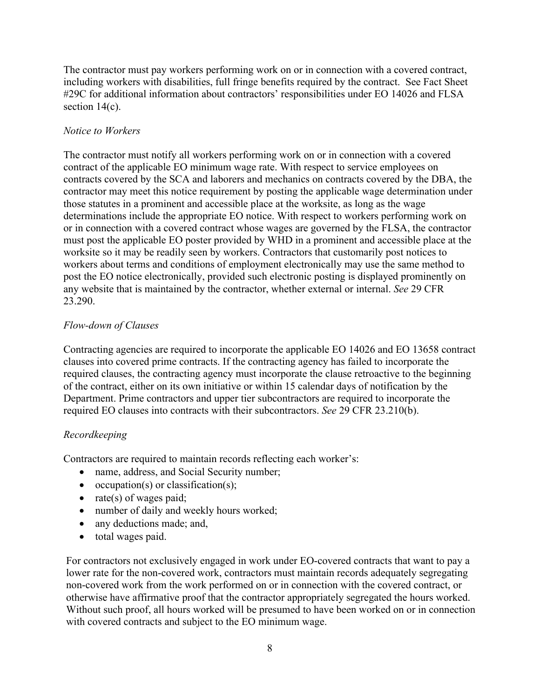The contractor must pay workers performing work on or in connection with a covered contract, including workers with disabilities, full fringe benefits required by the contract. See Fact Sheet #29C for additional information about contractors' responsibilities under EO 14026 and FLSA section  $14(c)$ .

## *Notice to Workers*

The contractor must notify all workers performing work on or in connection with a covered contract of the applicable EO minimum wage rate. With respect to service employees on contracts covered by the SCA and laborers and mechanics on contracts covered by the DBA, the contractor may meet this notice requirement by posting the applicable wage determination under those statutes in a prominent and accessible place at the worksite, as long as the wage determinations include the appropriate EO notice. With respect to workers performing work on or in connection with a covered contract whose wages are governed by the FLSA, the contractor must post the applicable EO poster provided by WHD in a prominent and accessible place at the worksite so it may be readily seen by workers. Contractors that customarily post notices to workers about terms and conditions of employment electronically may use the same method to post the EO notice electronically, provided such electronic posting is displayed prominently on any website that is maintained by the contractor, whether external or internal. *See* 29 CFR 23.290.

# *Flow-down of Clauses*

Contracting agencies are required to incorporate the applicable EO 14026 and EO 13658 contract clauses into covered prime contracts. If the contracting agency has failed to incorporate the required clauses, the contracting agency must incorporate the clause retroactive to the beginning of the contract, either on its own initiative or within 15 calendar days of notification by the Department. Prime contractors and upper tier subcontractors are required to incorporate the required EO clauses into contracts with their subcontractors. *See* 29 CFR 23.210(b).

# *Recordkeeping*

Contractors are required to maintain records reflecting each worker's:

- name, address, and Social Security number;
- occupation(s) or classification(s);
- rate(s) of wages paid;
- number of daily and weekly hours worked;
- any deductions made; and,
- total wages paid.

For contractors not exclusively engaged in work under EO-covered contracts that want to pay a lower rate for the non-covered work, contractors must maintain records adequately segregating non-covered work from the work performed on or in connection with the covered contract, or otherwise have affirmative proof that the contractor appropriately segregated the hours worked. Without such proof, all hours worked will be presumed to have been worked on or in connection with covered contracts and subject to the EO minimum wage.